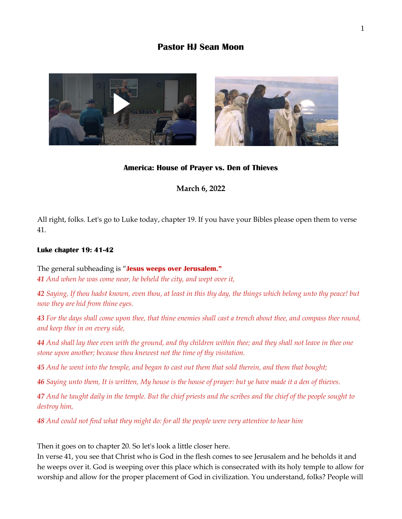# **Pastor HJ Sean Moon**





### **America: House of Prayer vs. Den of Thieves**

### **March 6, 2022**

All right, folks. Let's go to Luke today, chapter 19. If you have your Bibles please open them to verse 41.

### **Luke chapter 19: 41-42**

The general subheading is "**Jesus weeps over Jerusalem."** *41 And when he was come near, he beheld the city, and wept over it,* 

*42 Saying, If thou hadst known, even thou, at least in this thy day, the things which belong unto thy peace! but now they are hid from thine eyes.* 

*43 For the days shall come upon thee, that thine enemies shall cast a trench about thee, and compass thee round, and keep thee in on every side,* 

*44 And shall lay thee even with the ground, and thy children within thee; and they shall not leave in thee one stone upon another; because thou knewest not the time of thy visitation.* 

*45 And he went into the temple, and began to cast out them that sold therein, and them that bought;* 

*46 Saying unto them, It is written, My house is the house of prayer: but ye have made it a den of thieves.* 

*47 And he taught daily in the temple. But the chief priests and the scribes and the chief of the people sought to destroy him,* 

*48 And could not find what they might do: for all the people were very attentive to hear him*

Then it goes on to chapter 20. So let's look a little closer here.

In verse 41, you see that Christ who is God in the flesh comes to see Jerusalem and he beholds it and he weeps over it. God is weeping over this place which is consecrated with its holy temple to allow for worship and allow for the proper placement of God in civilization. You understand, folks? People will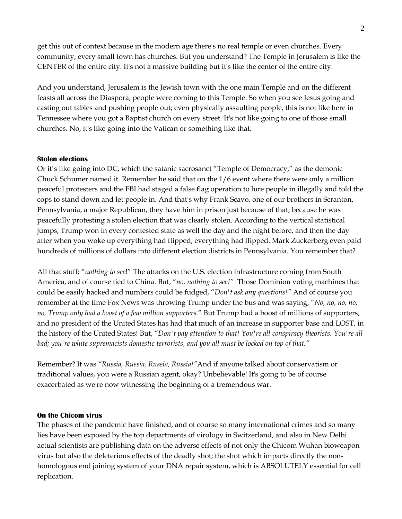get this out of context because in the modern age there's no real temple or even churches. Every community, every small town has churches. But you understand? The Temple in Jerusalem is like the CENTER of the entire city. It's not a massive building but it's like the center of the entire city.

And you understand, Jerusalem is the Jewish town with the one main Temple and on the different feasts all across the Diaspora, people were coming to this Temple. So when you see Jesus going and casting out tables and pushing people out; even physically assaulting people, this is not like here in Tennessee where you got a Baptist church on every street. It's not like going to one of those small churches. No, it's like going into the Vatican or something like that.

### **Stolen elections**

Or it's like going into DC, which the satanic sacrosanct "Temple of Democracy," as the demonic Chuck Schumer named it. Remember he said that on the 1/6 event where there were only a million peaceful protesters and the FBI had staged a false flag operation to lure people in illegally and told the cops to stand down and let people in. And that's why Frank Scavo, one of our brothers in Scranton, Pennsylvania, a major Republican, they have him in prison just because of that; because he was peacefully protesting a stolen election that was clearly stolen. According to the vertical statistical jumps, Trump won in every contested state as well the day and the night before, and then the day after when you woke up everything had flipped; everything had flipped. Mark Zuckerberg even paid hundreds of millions of dollars into different election districts in Pennsylvania. You remember that?

All that stuff: "*nothing to see*!" The attacks on the U.S. election infrastructure coming from South America, and of course tied to China*.* But, "*no, nothing to see!"* Those Dominion voting machines that could be easily hacked and numbers could be fudged, "*Don't ask any questions!"* And of course you remember at the time Fox News was throwing Trump under the bus and was saying, "*No, no, no, no, no, Trump only had a boost of a few million supporters.*" But Trump had a boost of millions of supporters, and no president of the United States has had that much of an increase in supporter base and LOST, in the history of the United States! But, "*Don't pay attention to that! You're all conspiracy theorists. You're all bad; you're white supremacists domestic terrorists, and you all must be locked on top of that."*

Remember? It was *"Russia, Russia, Russia, Russia!"*And if anyone talked about conservatism or traditional values, you were a Russian agent, okay? Unbelievable! It's going to be of course exacerbated as we're now witnessing the beginning of a tremendous war.

#### **On the Chicom virus**

The phases of the pandemic have finished, and of course so many international crimes and so many lies have been exposed by the top departments of virology in Switzerland, and also in New Delhi actual scientists are publishing data on the adverse effects of not only the Chicom Wuhan bioweapon virus but also the deleterious effects of the deadly shot; the shot which impacts directly the nonhomologous end joining system of your DNA repair system, which is ABSOLUTELY essential for cell replication.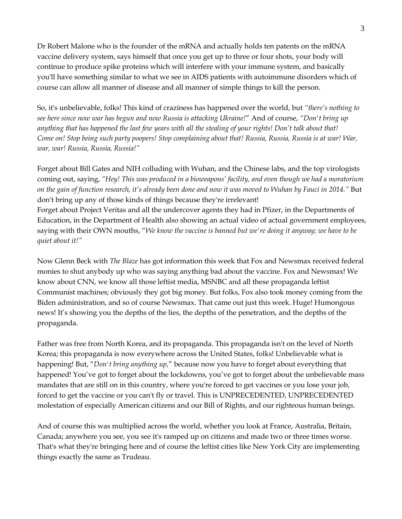Dr Robert Malone who is the founder of the mRNA and actually holds ten patents on the mRNA vaccine delivery system, says himself that once you get up to three or four shots, your body will continue to produce spike proteins which will interfere with your immune system, and basically you'll have something similar to what we see in AIDS patients with autoimmune disorders which of course can allow all manner of disease and all manner of simple things to kill the person.

So, it's unbelievable, folks! This kind of craziness has happened over the world, but *"there's nothing to see here since now war has begun and now Russia is attacking Ukraine!*" And of course, *"Don't bring up anything that has happened the last few years with all the stealing of your rights! Don't talk about that! Come on! Stop being such party poopers! Stop complaining about that! Russia, Russia, Russia is at war! War, war, war! Russia, Russia, Russia!"* 

Forget about Bill Gates and NIH colluding with Wuhan, and the Chinese labs, and the top virologists coming out, saying, *"Hey! This was produced in a bioweapons' facility, and even though we had a moratorium on the gain of function research, it's already been done and now it was moved to Wuhan by Fauci in 2014."* But don't bring up any of those kinds of things because they're irrelevant! Forget about Project Veritas and all the undercover agents they had in Pfizer, in the Departments of Education, in the Department of Health also showing an actual video of actual government employees, saying with their OWN mouths, "*We know the vaccine is banned but we're doing it anyway; we have to be quiet about it!"*

Now Glenn Beck with *The Blaze* has got information this week that Fox and Newsmax received federal monies to shut anybody up who was saying anything bad about the vaccine. Fox and Newsmax! We know about CNN, we know all those leftist media, MSNBC and all these propaganda leftist Communist machines; obviously they got big money. But folks, Fox also took money coming from the Biden administration, and so of course Newsmax. That came out just this week. Huge! Humongous news! It's showing you the depths of the lies, the depths of the penetration, and the depths of the propaganda.

Father was free from North Korea, and its propaganda. This propaganda isn't on the level of North Korea; this propaganda is now everywhere across the United States, folks! Unbelievable what is happening! But, "*Don't bring anything up,*" because now you have to forget about everything that happened! You've got to forget about the lockdowns, you've got to forget about the unbelievable mass mandates that are still on in this country, where you're forced to get vaccines or you lose your job, forced to get the vaccine or you can't fly or travel. This is UNPRECEDENTED, UNPRECEDENTED molestation of especially American citizens and our Bill of Rights, and our righteous human beings.

And of course this was multiplied across the world, whether you look at France, Australia, Britain, Canada; anywhere you see, you see it's ramped up on citizens and made two or three times worse. That's what they're bringing here and of course the leftist cities like New York City are implementing things exactly the same as Trudeau.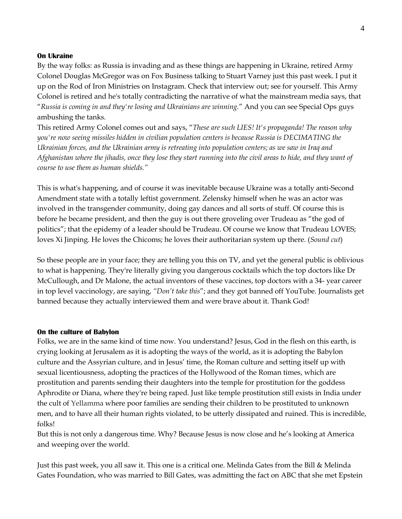#### **On Ukraine**

By the way folks: as Russia is invading and as these things are happening in Ukraine, retired Army Colonel Douglas McGregor was on Fox Business talking to Stuart Varney just this past week. I put it up on the Rod of Iron Ministries on Instagram. Check that interview out; see for yourself. This Army Colonel is retired and he's totally contradicting the narrative of what the mainstream media says, that "*Russia is coming in and they're losing and Ukrainians are winning.*" And you can see Special Ops guys ambushing the tanks.

This retired Army Colonel comes out and says, "*These are such LIES! It's propaganda! The reason why you're now seeing missiles hidden in civilian population centers is because Russia is DECIMATING the Ukrainian forces, and the Ukrainian army is retreating into population centers; as we saw in Iraq and Afghanistan where the jihadis, once they lose they start running into the civil areas to hide, and they want of course to use them as human shields."*

This is what's happening, and of course it was inevitable because Ukraine was a totally anti-Second Amendment state with a totally leftist government. Zelensky himself when he was an actor was involved in the transgender community, doing gay dances and all sorts of stuff. Of course this is before he became president, and then the guy is out there groveling over Trudeau as "the god of politics"; that the epidemy of a leader should be Trudeau. Of course we know that Trudeau LOVES; loves Xi Jinping. He loves the Chicoms; he loves their authoritarian system up there. (*Sound cut*)

So these people are in your face; they are telling you this on TV, and yet the general public is oblivious to what is happening. They're literally giving you dangerous cocktails which the top doctors like Dr McCullough, and Dr Malone, the actual inventors of these vaccines, top doctors with a 34- year career in top level vaccinology, are saying, *"Don't take this*"; and they got banned off YouTube. Journalists get banned because they actually interviewed them and were brave about it. Thank God!

#### **On the culture of Babylon**

Folks, we are in the same kind of time now. You understand? Jesus, God in the flesh on this earth, is crying looking at Jerusalem as it is adopting the ways of the world, as it is adopting the Babylon culture and the Assyrian culture, and in Jesus' time, the Roman culture and setting itself up with sexual licentiousness, adopting the practices of the Hollywood of the Roman times, which are prostitution and parents sending their daughters into the temple for prostitution for the goddess Aphrodite or Diana, where they're being raped. Just like temple prostitution still exists in India under the cult of Yellamma where poor families are sending their children to be prostituted to unknown men, and to have all their human rights violated, to be utterly dissipated and ruined. This is incredible, folks!

But this is not only a dangerous time. Why? Because Jesus is now close and he's looking at America and weeping over the world.

Just this past week, you all saw it. This one is a critical one. Melinda Gates from the Bill & Melinda Gates Foundation, who was married to Bill Gates, was admitting the fact on ABC that she met Epstein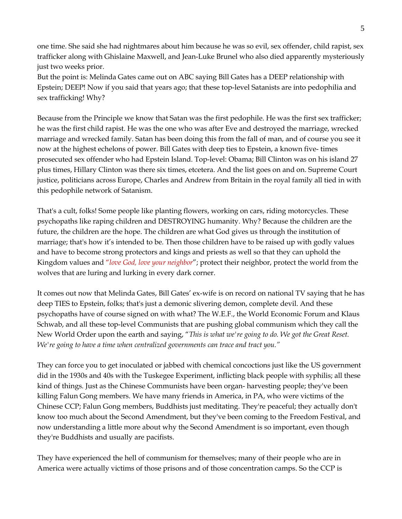one time. She said she had nightmares about him because he was so evil, sex offender, child rapist, sex trafficker along with Ghislaine Maxwell, and Jean-Luke Brunel who also died apparently mysteriously just two weeks prior.

But the point is: Melinda Gates came out on ABC saying Bill Gates has a DEEP relationship with Epstein; DEEP! Now if you said that years ago; that these top-level Satanists are into pedophilia and sex trafficking! Why?

Because from the Principle we know that Satan was the first pedophile. He was the first sex trafficker; he was the first child rapist. He was the one who was after Eve and destroyed the marriage, wrecked marriage and wrecked family. Satan has been doing this from the fall of man, and of course you see it now at the highest echelons of power. Bill Gates with deep ties to Epstein, a known five- times prosecuted sex offender who had Epstein Island. Top-level: Obama; Bill Clinton was on his island 27 plus times, Hillary Clinton was there six times, etcetera. And the list goes on and on. Supreme Court justice, politicians across Europe, Charles and Andrew from Britain in the royal family all tied in with this pedophile network of Satanism.

That's a cult, folks! Some people like planting flowers, working on cars, riding motorcycles. These psychopaths like raping children and DESTROYING humanity. Why? Because the children are the future, the children are the hope. The children are what God gives us through the institution of marriage; that's how it's intended to be. Then those children have to be raised up with godly values and have to become strong protectors and kings and priests as well so that they can uphold the Kingdom values and "*love God, love your neighbor*"; protect their neighbor, protect the world from the wolves that are luring and lurking in every dark corner.

It comes out now that Melinda Gates, Bill Gates' ex-wife is on record on national TV saying that he has deep TIES to Epstein, folks; that's just a demonic slivering demon, complete devil. And these psychopaths have of course signed on with what? The W.E.F., the World Economic Forum and Klaus Schwab, and all these top-level Communists that are pushing global communism which they call the New World Order upon the earth and saying, "*This is what we're going to do. We got the Great Reset. We're going to have a time when centralized governments can trace and tract you."*

They can force you to get inoculated or jabbed with chemical concoctions just like the US government did in the 1930s and 40s with the Tuskegee Experiment, inflicting black people with syphilis; all these kind of things. Just as the Chinese Communists have been organ- harvesting people; they've been killing Falun Gong members. We have many friends in America, in PA, who were victims of the Chinese CCP; Falun Gong members, Buddhists just meditating. They're peaceful; they actually don't know too much about the Second Amendment, but they've been coming to the Freedom Festival, and now understanding a little more about why the Second Amendment is so important, even though they're Buddhists and usually are pacifists.

They have experienced the hell of communism for themselves; many of their people who are in America were actually victims of those prisons and of those concentration camps. So the CCP is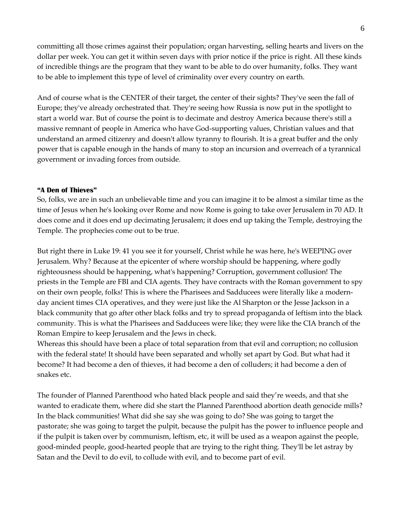committing all those crimes against their population; organ harvesting, selling hearts and livers on the dollar per week. You can get it within seven days with prior notice if the price is right. All these kinds of incredible things are the program that they want to be able to do over humanity, folks. They want to be able to implement this type of level of criminality over every country on earth.

And of course what is the CENTER of their target, the center of their sights? They've seen the fall of Europe; they've already orchestrated that. They're seeing how Russia is now put in the spotlight to start a world war. But of course the point is to decimate and destroy America because there's still a massive remnant of people in America who have God-supporting values, Christian values and that understand an armed citizenry and doesn't allow tyranny to flourish. It is a great buffer and the only power that is capable enough in the hands of many to stop an incursion and overreach of a tyrannical government or invading forces from outside.

### **"A Den of Thieves"**

So, folks, we are in such an unbelievable time and you can imagine it to be almost a similar time as the time of Jesus when he's looking over Rome and now Rome is going to take over Jerusalem in 70 AD. It does come and it does end up decimating Jerusalem; it does end up taking the Temple, destroying the Temple. The prophecies come out to be true.

But right there in Luke 19: 41 you see it for yourself, Christ while he was here, he's WEEPING over Jerusalem. Why? Because at the epicenter of where worship should be happening, where godly righteousness should be happening, what's happening? Corruption, government collusion! The priests in the Temple are FBI and CIA agents. They have contracts with the Roman government to spy on their own people, folks! This is where the Pharisees and Sadducees were literally like a modernday ancient times CIA operatives, and they were just like the Al Sharpton or the Jesse Jackson in a black community that go after other black folks and try to spread propaganda of leftism into the black community. This is what the Pharisees and Sadducees were like; they were like the CIA branch of the Roman Empire to keep Jerusalem and the Jews in check.

Whereas this should have been a place of total separation from that evil and corruption; no collusion with the federal state! It should have been separated and wholly set apart by God. But what had it become? It had become a den of thieves, it had become a den of colluders; it had become a den of snakes etc.

The founder of Planned Parenthood who hated black people and said they're weeds, and that she wanted to eradicate them, where did she start the Planned Parenthood abortion death genocide mills? In the black communities! What did she say she was going to do? She was going to target the pastorate; she was going to target the pulpit, because the pulpit has the power to influence people and if the pulpit is taken over by communism, leftism, etc, it will be used as a weapon against the people, good-minded people, good-hearted people that are trying to the right thing. They'll be let astray by Satan and the Devil to do evil, to collude with evil, and to become part of evil.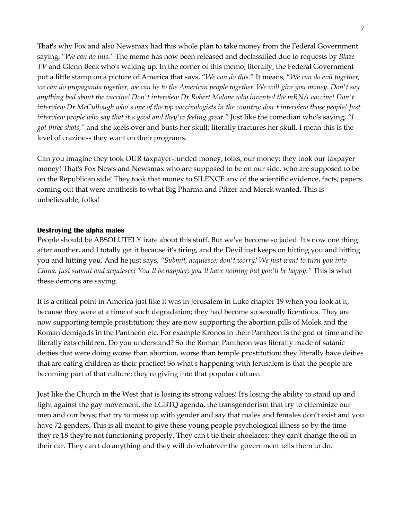That's why Fox and also Newsmax had this whole plan to take money from the Federal Government saying, "*We can do this."* The memo has now been released and declassified due to requests by *Blaze TV* and Glenn Beck who's waking up. In the corner of this memo, literally, the Federal Government put a little stamp on a picture of America that says, "*We can do this*." It means, "*We can do evil together, we can do propaganda together, we can lie to the American people together. We will give you money. Don't say anything bad about the vaccine! Don't interview Dr Robert Malone who invented the mRNA vaccine! Don't interview Dr McCullough who's one of the top vaccinologists in the country; don't interview those people! Just interview people who say that it's good and they're feeling great."* Just like the comedian who's saying, *"I got three shots,"* and she keels over and busts her skull; literally fractures her skull. I mean this is the level of craziness they want on their programs.

Can you imagine they took OUR taxpayer-funded money, folks, our money; they took our taxpayer money! That's Fox News and Newsmax who are supposed to be on our side, who are supposed to be on the Republican side! They took that money to SILENCE any of the scientific evidence, facts, papers coming out that were antithesis to what Big Pharma and Pfizer and Merck wanted. This is unbelievable, folks!

### **Destroying the alpha males**

People should be ABSOLUTELY irate about this stuff. But we've become so jaded. It's now one thing after another, and I totally get it because it's tiring, and the Devil just keeps on hitting you and hitting you and hitting you. And he just says, *"Submit, acquiesce; don't worry! We just want to turn you into China. Just submit and acquiesce! You'll be happier; you'll have nothing but you'll be happy."* This is what these demons are saying.

It is a critical point in America just like it was in Jerusalem in Luke chapter 19 when you look at it, because they were at a time of such degradation; they had become so sexually licentious. They are now supporting temple prostitution; they are now supporting the abortion pills of Molek and the Roman demigods in the Pantheon etc. For example Kronos in their Pantheon is the god of time and he literally eats children. Do you understand? So the Roman Pantheon was literally made of satanic deities that were doing worse than abortion, worse than temple prostitution; they literally have deities that are eating children as their practice! So what's happening with Jerusalem is that the people are becoming part of that culture; they're giving into that popular culture.

Just like the Church in the West that is losing its strong values! It's losing the ability to stand up and fight against the gay movement, the LGBTQ agenda, the transgenderism that try to effeminize our men and our boys; that try to mess up with gender and say that males and females don't exist and you have 72 genders. This is all meant to give these young people psychological illness so by the time they're 18 they're not functioning properly. They can't tie their shoelaces; they can't change the oil in their car. They can't do anything and they will do whatever the government tells them to do.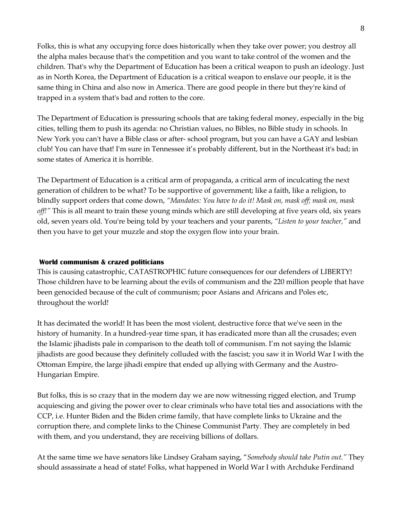Folks, this is what any occupying force does historically when they take over power; you destroy all the alpha males because that's the competition and you want to take control of the women and the children. That's why the Department of Education has been a critical weapon to push an ideology. Just as in North Korea, the Department of Education is a critical weapon to enslave our people, it is the same thing in China and also now in America. There are good people in there but they're kind of trapped in a system that's bad and rotten to the core.

The Department of Education is pressuring schools that are taking federal money, especially in the big cities, telling them to push its agenda: no Christian values, no Bibles, no Bible study in schools. In New York you can't have a Bible class or after- school program, but you can have a GAY and lesbian club! You can have that! I'm sure in Tennessee it's probably different, but in the Northeast it's bad; in some states of America it is horrible.

The Department of Education is a critical arm of propaganda, a critical arm of inculcating the next generation of children to be what? To be supportive of government; like a faith, like a religion, to blindly support orders that come down, *"Mandates: You have to do it! Mask on, mask off; mask on, mask off!"* This is all meant to train these young minds which are still developing at five years old, six years old, seven years old. You're being told by your teachers and your parents, *"Listen to your teacher,"* and then you have to get your muzzle and stop the oxygen flow into your brain.

## **World communism & crazed politicians**

This is causing catastrophic, CATASTROPHIC future consequences for our defenders of LIBERTY! Those children have to be learning about the evils of communism and the 220 million people that have been genocided because of the cult of communism; poor Asians and Africans and Poles etc, throughout the world!

It has decimated the world! It has been the most violent, destructive force that we've seen in the history of humanity. In a hundred-year time span, it has eradicated more than all the crusades; even the Islamic jihadists pale in comparison to the death toll of communism. I'm not saying the Islamic jihadists are good because they definitely colluded with the fascist; you saw it in World War I with the Ottoman Empire, the large jihadi empire that ended up allying with Germany and the Austro-Hungarian Empire.

But folks, this is so crazy that in the modern day we are now witnessing rigged election, and Trump acquiescing and giving the power over to clear criminals who have total ties and associations with the CCP, i.e. Hunter Biden and the Biden crime family, that have complete links to Ukraine and the corruption there, and complete links to the Chinese Communist Party. They are completely in bed with them, and you understand, they are receiving billions of dollars.

At the same time we have senators like Lindsey Graham saying, "*Somebody should take Putin out."* They should assassinate a head of state! Folks, what happened in World War I with Archduke Ferdinand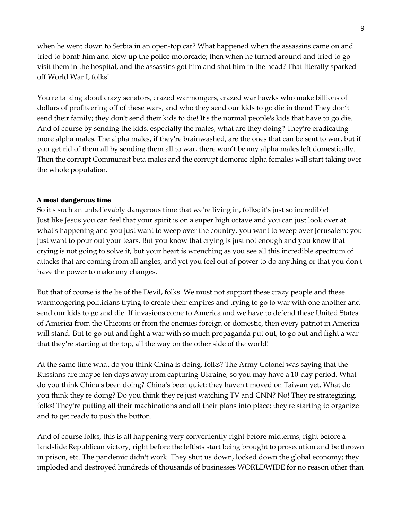when he went down to Serbia in an open-top car? What happened when the assassins came on and tried to bomb him and blew up the police motorcade; then when he turned around and tried to go visit them in the hospital, and the assassins got him and shot him in the head? That literally sparked off World War I, folks!

You're talking about crazy senators, crazed warmongers, crazed war hawks who make billions of dollars of profiteering off of these wars, and who they send our kids to go die in them! They don't send their family; they don't send their kids to die! It's the normal people's kids that have to go die. And of course by sending the kids, especially the males, what are they doing? They're eradicating more alpha males. The alpha males, if they're brainwashed, are the ones that can be sent to war, but if you get rid of them all by sending them all to war, there won't be any alpha males left domestically. Then the corrupt Communist beta males and the corrupt demonic alpha females will start taking over the whole population.

### **A most dangerous time**

So it's such an unbelievably dangerous time that we're living in, folks; it's just so incredible! Just like Jesus you can feel that your spirit is on a super high octave and you can just look over at what's happening and you just want to weep over the country, you want to weep over Jerusalem; you just want to pour out your tears. But you know that crying is just not enough and you know that crying is not going to solve it, but your heart is wrenching as you see all this incredible spectrum of attacks that are coming from all angles, and yet you feel out of power to do anything or that you don't have the power to make any changes.

But that of course is the lie of the Devil, folks. We must not support these crazy people and these warmongering politicians trying to create their empires and trying to go to war with one another and send our kids to go and die. If invasions come to America and we have to defend these United States of America from the Chicoms or from the enemies foreign or domestic, then every patriot in America will stand. But to go out and fight a war with so much propaganda put out; to go out and fight a war that they're starting at the top, all the way on the other side of the world!

At the same time what do you think China is doing, folks? The Army Colonel was saying that the Russians are maybe ten days away from capturing Ukraine, so you may have a 10-day period. What do you think China's been doing? China's been quiet; they haven't moved on Taiwan yet. What do you think they're doing? Do you think they're just watching TV and CNN? No! They're strategizing, folks! They're putting all their machinations and all their plans into place; they're starting to organize and to get ready to push the button.

And of course folks, this is all happening very conveniently right before midterms, right before a landslide Republican victory, right before the leftists start being brought to prosecution and be thrown in prison, etc. The pandemic didn't work. They shut us down, locked down the global economy; they imploded and destroyed hundreds of thousands of businesses WORLDWIDE for no reason other than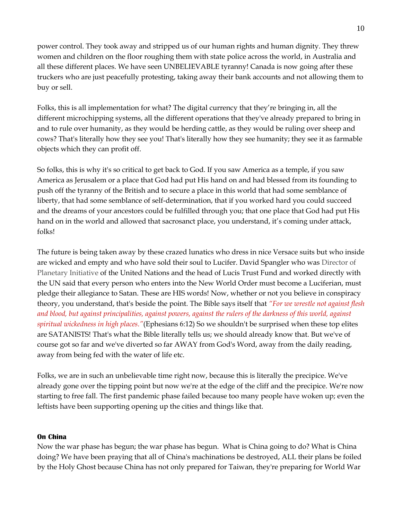power control. They took away and stripped us of our human rights and human dignity. They threw women and children on the floor roughing them with state police across the world, in Australia and all these different places. We have seen UNBELIEVABLE tyranny! Canada is now going after these truckers who are just peacefully protesting, taking away their bank accounts and not allowing them to buy or sell.

Folks, this is all implementation for what? The digital currency that they're bringing in, all the different microchipping systems, all the different operations that they've already prepared to bring in and to rule over humanity, as they would be herding cattle, as they would be ruling over sheep and cows? That's literally how they see you! That's literally how they see humanity; they see it as farmable objects which they can profit off.

So folks, this is why it's so critical to get back to God. If you saw America as a temple, if you saw America as Jerusalem or a place that God had put His hand on and had blessed from its founding to push off the tyranny of the British and to secure a place in this world that had some semblance of liberty, that had some semblance of self-determination, that if you worked hard you could succeed and the dreams of your ancestors could be fulfilled through you; that one place that God had put His hand on in the world and allowed that sacrosanct place, you understand, it's coming under attack, folks!

The future is being taken away by these crazed lunatics who dress in nice Versace suits but who inside are wicked and empty and who have sold their soul to Lucifer. David Spangler who was Director of Planetary Initiative of the United Nations and the head of Lucis Trust Fund and worked directly with the UN said that every person who enters into the New World Order must become a Luciferian, must pledge their allegiance to Satan. These are HIS words! Now, whether or not you believe in conspiracy theory, you understand, that's beside the point. The Bible says itself that *"For we wrestle not against flesh and blood, but against principalities, against powers, against the rulers of the darkness of this world, against spiritual wickedness in high places."*(Ephesians 6:12) So we shouldn't be surprised when these top elites are SATANISTS! That's what the Bible literally tells us; we should already know that. But we've of course got so far and we've diverted so far AWAY from God's Word, away from the daily reading, away from being fed with the water of life etc.

Folks, we are in such an unbelievable time right now, because this is literally the precipice. We've already gone over the tipping point but now we're at the edge of the cliff and the precipice. We're now starting to free fall. The first pandemic phase failed because too many people have woken up; even the leftists have been supporting opening up the cities and things like that.

### **On China**

Now the war phase has begun; the war phase has begun. What is China going to do? What is China doing? We have been praying that all of China's machinations be destroyed, ALL their plans be foiled by the Holy Ghost because China has not only prepared for Taiwan, they're preparing for World War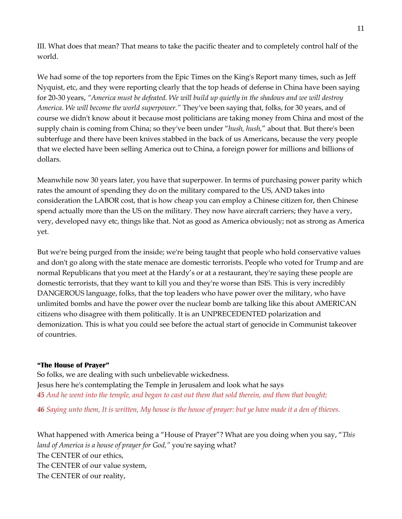III. What does that mean? That means to take the pacific theater and to completely control half of the world.

We had some of the top reporters from the Epic Times on the King's Report many times, such as Jeff Nyquist, etc, and they were reporting clearly that the top heads of defense in China have been saying for 20-30 years, *"America must be defeated. We will build up quietly in the shadows and we will destroy America. We will become the world superpower."* They've been saying that, folks, for 30 years, and of course we didn't know about it because most politicians are taking money from China and most of the supply chain is coming from China; so they've been under "*hush, hush,*" about that. But there's been subterfuge and there have been knives stabbed in the back of us Americans, because the very people that we elected have been selling America out to China, a foreign power for millions and billions of dollars.

Meanwhile now 30 years later, you have that superpower. In terms of purchasing power parity which rates the amount of spending they do on the military compared to the US, AND takes into consideration the LABOR cost, that is how cheap you can employ a Chinese citizen for, then Chinese spend actually more than the US on the military. They now have aircraft carriers; they have a very, very, developed navy etc, things like that. Not as good as America obviously; not as strong as America yet.

But we're being purged from the inside; we're being taught that people who hold conservative values and don't go along with the state menace are domestic terrorists. People who voted for Trump and are normal Republicans that you meet at the Hardy's or at a restaurant, they're saying these people are domestic terrorists, that they want to kill you and they're worse than ISIS. This is very incredibly DANGEROUS language, folks, that the top leaders who have power over the military, who have unlimited bombs and have the power over the nuclear bomb are talking like this about AMERICAN citizens who disagree with them politically. It is an UNPRECEDENTED polarization and demonization. This is what you could see before the actual start of genocide in Communist takeover of countries.

## **"The House of Prayer"**

So folks, we are dealing with such unbelievable wickedness. Jesus here he's contemplating the Temple in Jerusalem and look what he says *45 And he went into the temple, and began to cast out them that sold therein, and them that bought;*

*46 Saying unto them, It is written, My house is the house of prayer: but ye have made it a den of thieves.*

What happened with America being a "House of Prayer"? What are you doing when you say, "*This land of America is a house of prayer for God,"* you're saying what? The CENTER of our ethics, The CENTER of our value system, The CENTER of our reality,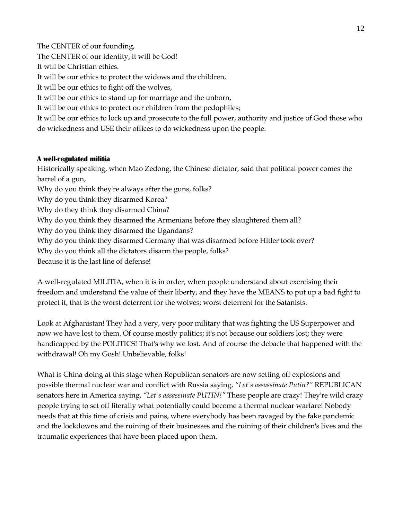The CENTER of our founding, The CENTER of our identity, it will be God! It will be Christian ethics. It will be our ethics to protect the widows and the children, It will be our ethics to fight off the wolves, It will be our ethics to stand up for marriage and the unborn, It will be our ethics to protect our children from the pedophiles; It will be our ethics to lock up and prosecute to the full power, authority and justice of God those who do wickedness and USE their offices to do wickedness upon the people.

# **A well-regulated militia**

Historically speaking, when Mao Zedong, the Chinese dictator, said that political power comes the barrel of a gun, Why do you think they're always after the guns, folks? Why do you think they disarmed Korea? Why do they think they disarmed China? Why do you think they disarmed the Armenians before they slaughtered them all? Why do you think they disarmed the Ugandans? Why do you think they disarmed Germany that was disarmed before Hitler took over? Why do you think all the dictators disarm the people, folks?

Because it is the last line of defense!

A well-regulated MILITIA, when it is in order, when people understand about exercising their freedom and understand the value of their liberty, and they have the MEANS to put up a bad fight to protect it, that is the worst deterrent for the wolves; worst deterrent for the Satanists.

Look at Afghanistan! They had a very, very poor military that was fighting the US Superpower and now we have lost to them. Of course mostly politics; it's not because our soldiers lost; they were handicapped by the POLITICS! That's why we lost. And of course the debacle that happened with the withdrawal! Oh my Gosh! Unbelievable, folks!

What is China doing at this stage when Republican senators are now setting off explosions and possible thermal nuclear war and conflict with Russia saying, *"Let's assassinate Putin?"* REPUBLICAN senators here in America saying, *"Let's assassinate PUTIN!"* These people are crazy! They're wild crazy people trying to set off literally what potentially could become a thermal nuclear warfare! Nobody needs that at this time of crisis and pains, where everybody has been ravaged by the fake pandemic and the lockdowns and the ruining of their businesses and the ruining of their children's lives and the traumatic experiences that have been placed upon them.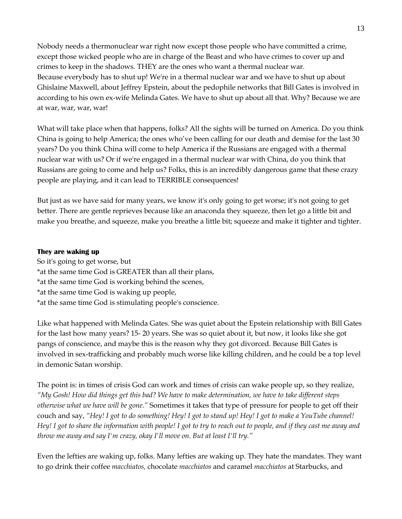Nobody needs a thermonuclear war right now except those people who have committed a crime, except those wicked people who are in charge of the Beast and who have crimes to cover up and crimes to keep in the shadows. THEY are the ones who want a thermal nuclear war. Because everybody has to shut up! We're in a thermal nuclear war and we have to shut up about Ghislaine Maxwell, about Jeffrey Epstein, about the pedophile networks that Bill Gates is involved in according to his own ex-wife Melinda Gates. We have to shut up about all that. Why? Because we are at war, war, war, war!

What will take place when that happens, folks? All the sights will be turned on America. Do you think China is going to help America; the ones who've been calling for our death and demise for the last 30 years? Do you think China will come to help America if the Russians are engaged with a thermal nuclear war with us? Or if we're engaged in a thermal nuclear war with China, do you think that Russians are going to come and help us? Folks, this is an incredibly dangerous game that these crazy people are playing, and it can lead to TERRIBLE consequences!

But just as we have said for many years, we know it's only going to get worse; it's not going to get better. There are gentle reprieves because like an anaconda they squeeze, then let go a little bit and make you breathe, and squeeze, make you breathe a little bit; squeeze and make it tighter and tighter.

### **They are waking up**

So it's going to get worse, but \*at the same time God is GREATER than all their plans, \*at the same time God is working behind the scenes, \*at the same time God is waking up people, \*at the same time God is stimulating people's conscience.

Like what happened with Melinda Gates. She was quiet about the Epstein relationship with Bill Gates for the last how many years? 15- 20 years. She was so quiet about it, but now, it looks like she got pangs of conscience, and maybe this is the reason why they got divorced. Because Bill Gates is involved in sex-trafficking and probably much worse like killing children, and he could be a top level in demonic Satan worship.

The point is: in times of crisis God can work and times of crisis can wake people up, so they realize, *"My Gosh! How did things get this bad? We have to make determination, we have to take different steps otherwise what we have will be gone."* Sometimes it takes that type of pressure for people to get off their couch and say, *"Hey! I got to do something! Hey! I got to stand up! Hey! I got to make a YouTube channel! Hey! I got to share the information with people! I got to try to reach out to people, and if they cast me away and throw me away and say I'm crazy, okay I'll move on. But at least I'll try."*

Even the lefties are waking up, folks. Many lefties are waking up. They hate the mandates. They want to go drink their coffee *macchiatos,* chocolate *macchiatos* and caramel *macchiatos* at Starbucks, and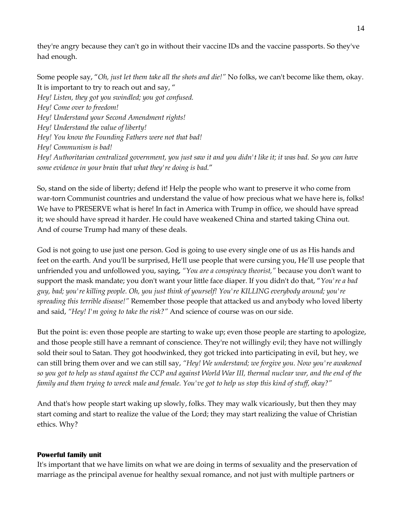they're angry because they can't go in without their vaccine IDs and the vaccine passports. So they've had enough.

Some people say, "*Oh, just let them take all the shots and die!"* No folks, we can't become like them, okay. It is important to try to reach out and say, " *Hey! Listen, they got you swindled; you got confused. Hey! Come over to freedom! Hey! Understand your Second Amendment rights! Hey! Understand the value of liberty! Hey! You know the Founding Fathers were not that bad! Hey! Communism is bad! Hey! Authoritarian centralized government, you just saw it and you didn't like it; it was bad. So you can have some evidence in your brain that what they're doing is bad.*"

So, stand on the side of liberty; defend it! Help the people who want to preserve it who come from war-torn Communist countries and understand the value of how precious what we have here is, folks! We have to PRESERVE what is here! In fact in America with Trump in office, we should have spread it; we should have spread it harder. He could have weakened China and started taking China out. And of course Trump had many of these deals.

God is not going to use just one person. God is going to use every single one of us as His hands and feet on the earth. And you'll be surprised, He'll use people that were cursing you, He'll use people that unfriended you and unfollowed you, saying, *"You are a conspiracy theorist,"* because you don't want to support the mask mandate; you don't want your little face diaper. If you didn't do that, "*You're a bad guy, bad; you're killing people. Oh, you just think of yourself! You're KILLING everybody around; you're spreading this terrible disease!"* Remember those people that attacked us and anybody who loved liberty and said, *"Hey! I'm going to take the risk?"* And science of course was on our side.

But the point is: even those people are starting to wake up; even those people are starting to apologize, and those people still have a remnant of conscience. They're not willingly evil; they have not willingly sold their soul to Satan. They got hoodwinked, they got tricked into participating in evil, but hey, we can still bring them over and we can still say, *"Hey! We understand; we forgive you. Now you're awakened so you got to help us stand against the CCP and against World War III, thermal nuclear war, and the end of the family and them trying to wreck male and female. You've got to help us stop this kind of stuff, okay?"*

And that's how people start waking up slowly, folks. They may walk vicariously, but then they may start coming and start to realize the value of the Lord; they may start realizing the value of Christian ethics. Why?

## **Powerful family unit**

It's important that we have limits on what we are doing in terms of sexuality and the preservation of marriage as the principal avenue for healthy sexual romance, and not just with multiple partners or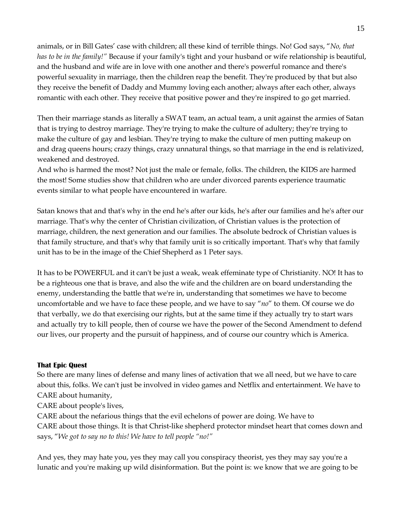animals, or in Bill Gates' case with children; all these kind of terrible things. No! God says, "*No, that has to be in the family!"* Because if your family's tight and your husband or wife relationship is beautiful, and the husband and wife are in love with one another and there's powerful romance and there's powerful sexuality in marriage, then the children reap the benefit. They're produced by that but also they receive the benefit of Daddy and Mummy loving each another; always after each other, always romantic with each other. They receive that positive power and they're inspired to go get married.

Then their marriage stands as literally a SWAT team, an actual team, a unit against the armies of Satan that is trying to destroy marriage. They're trying to make the culture of adultery; they're trying to make the culture of gay and lesbian. They're trying to make the culture of men putting makeup on and drag queens hours; crazy things, crazy unnatural things, so that marriage in the end is relativized, weakened and destroyed.

And who is harmed the most? Not just the male or female, folks. The children, the KIDS are harmed the most! Some studies show that children who are under divorced parents experience traumatic events similar to what people have encountered in warfare.

Satan knows that and that's why in the end he's after our kids, he's after our families and he's after our marriage. That's why the center of Christian civilization, of Christian values is the protection of marriage, children, the next generation and our families. The absolute bedrock of Christian values is that family structure, and that's why that family unit is so critically important. That's why that family unit has to be in the image of the Chief Shepherd as 1 Peter says.

It has to be POWERFUL and it can't be just a weak, weak effeminate type of Christianity. NO! It has to be a righteous one that is brave, and also the wife and the children are on board understanding the enemy, understanding the battle that we're in, understanding that sometimes we have to become uncomfortable and we have to face these people, and we have to say "*no*" to them. Of course we do that verbally, we do that exercising our rights, but at the same time if they actually try to start wars and actually try to kill people, then of course we have the power of the Second Amendment to defend our lives, our property and the pursuit of happiness, and of course our country which is America.

## **That Epic Quest**

So there are many lines of defense and many lines of activation that we all need, but we have to care about this, folks. We can't just be involved in video games and Netflix and entertainment. We have to CARE about humanity,

CARE about people's lives,

CARE about the nefarious things that the evil echelons of power are doing. We have to CARE about those things. It is that Christ-like shepherd protector mindset heart that comes down and says, "*We got to say no to this! We have to tell people "no!"*

And yes, they may hate you, yes they may call you conspiracy theorist, yes they may say you're a lunatic and you're making up wild disinformation. But the point is: we know that we are going to be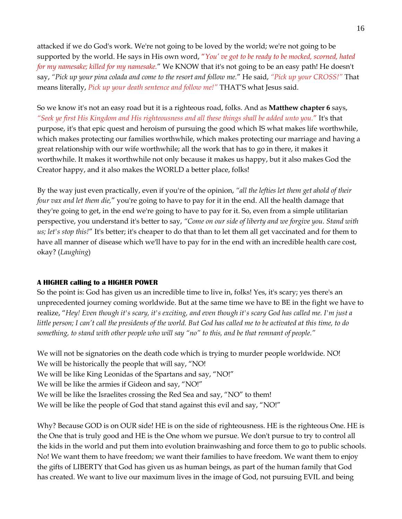attacked if we do God's work. We're not going to be loved by the world; we're not going to be supported by the world. He says in His own word, "*You' ve got to be ready to be mocked, scorned, hated for my namesake; killed for my namesake.*" We KNOW that it's not going to be an easy path! He doesn't say, *"Pick up your pina colada and come to the resort and follow me.*" He said, *"Pick up your CROSS!"* That means literally, *Pick up your death sentence and follow me!"* THAT'S what Jesus said.

So we know it's not an easy road but it is a righteous road, folks. And as **Matthew chapter 6** says, *"Seek ye first His Kingdom and His righteousness and all these things shall be added unto you.*" It's that purpose, it's that epic quest and heroism of pursuing the good which IS what makes life worthwhile, which makes protecting our families worthwhile, which makes protecting our marriage and having a great relationship with our wife worthwhile; all the work that has to go in there, it makes it worthwhile. It makes it worthwhile not only because it makes us happy, but it also makes God the Creator happy, and it also makes the WORLD a better place, folks!

By the way just even practically, even if you're of the opinion, *"all the lefties let them get ahold of their four vax and let them die,*" you're going to have to pay for it in the end. All the health damage that they're going to get, in the end we're going to have to pay for it. So, even from a simple utilitarian perspective, you understand it's better to say, *"Come on our side of liberty and we forgive you. Stand with us; let's stop this!*" It's better; it's cheaper to do that than to let them all get vaccinated and for them to have all manner of disease which we'll have to pay for in the end with an incredible health care cost, okay? (*Laughing*)

## **A HIGHER calling to a HIGHER POWER**

So the point is: God has given us an incredible time to live in, folks! Yes, it's scary; yes there's an unprecedented journey coming worldwide. But at the same time we have to BE in the fight we have to realize, "*Hey! Even though it's scary, it's exciting, and even though it's scary God has called me. I'm just a little person; I can't call the presidents of the world. But God has called me to be activated at this time, to do something, to stand with other people who will say "no" to this, and be that remnant of people."*

We will not be signatories on the death code which is trying to murder people worldwide. NO! We will be historically the people that will say, "NO! We will be like King Leonidas of the Spartans and say, "NO!" We will be like the armies if Gideon and say, "NO!" We will be like the Israelites crossing the Red Sea and say, "NO" to them! We will be like the people of God that stand against this evil and say, "NO!"

Why? Because GOD is on OUR side! HE is on the side of righteousness. HE is the righteous One. HE is the One that is truly good and HE is the One whom we pursue. We don't pursue to try to control all the kids in the world and put them into evolution brainwashing and force them to go to public schools. No! We want them to have freedom; we want their families to have freedom. We want them to enjoy the gifts of LIBERTY that God has given us as human beings, as part of the human family that God has created. We want to live our maximum lives in the image of God, not pursuing EVIL and being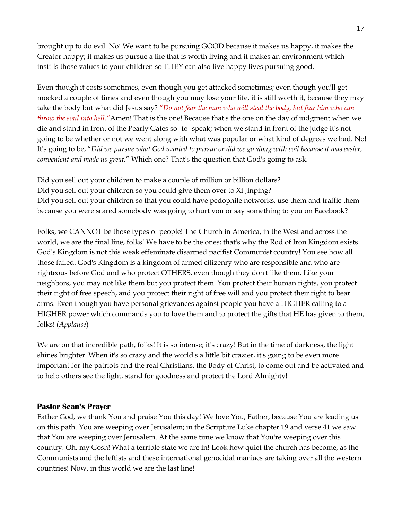brought up to do evil. No! We want to be pursuing GOOD because it makes us happy, it makes the Creator happy; it makes us pursue a life that is worth living and it makes an environment which instills those values to your children so THEY can also live happy lives pursuing good.

Even though it costs sometimes, even though you get attacked sometimes; even though you'll get mocked a couple of times and even though you may lose your life, it is still worth it, because they may take the body but what did Jesus say? "*Do not fear the man who will steal the body, but fear him who can throw the soul into hell."*Amen! That is the one! Because that's the one on the day of judgment when we die and stand in front of the Pearly Gates so- to -speak; when we stand in front of the judge it's not going to be whether or not we went along with what was popular or what kind of degrees we had. No! It's going to be, "*Did we pursue what God wanted to pursue or did we go along with evil because it was easier, convenient and made us great.*" Which one? That's the question that God's going to ask.

Did you sell out your children to make a couple of million or billion dollars? Did you sell out your children so you could give them over to Xi Jinping? Did you sell out your children so that you could have pedophile networks, use them and traffic them because you were scared somebody was going to hurt you or say something to you on Facebook?

Folks, we CANNOT be those types of people! The Church in America, in the West and across the world, we are the final line, folks! We have to be the ones; that's why the Rod of Iron Kingdom exists. God's Kingdom is not this weak effeminate disarmed pacifist Communist country! You see how all those failed. God's Kingdom is a kingdom of armed citizenry who are responsible and who are righteous before God and who protect OTHERS, even though they don't like them. Like your neighbors, you may not like them but you protect them. You protect their human rights, you protect their right of free speech, and you protect their right of free will and you protect their right to bear arms. Even though you have personal grievances against people you have a HIGHER calling to a HIGHER power which commands you to love them and to protect the gifts that HE has given to them, folks! (*Applause*)

We are on that incredible path, folks! It is so intense; it's crazy! But in the time of darkness, the light shines brighter. When it's so crazy and the world's a little bit crazier, it's going to be even more important for the patriots and the real Christians, the Body of Christ, to come out and be activated and to help others see the light, stand for goodness and protect the Lord Almighty!

## **Pastor Sean's Prayer**

Father God, we thank You and praise You this day! We love You, Father, because You are leading us on this path. You are weeping over Jerusalem; in the Scripture Luke chapter 19 and verse 41 we saw that You are weeping over Jerusalem. At the same time we know that You're weeping over this country. Oh, my Gosh! What a terrible state we are in! Look how quiet the church has become, as the Communists and the leftists and these international genocidal maniacs are taking over all the western countries! Now, in this world we are the last line!